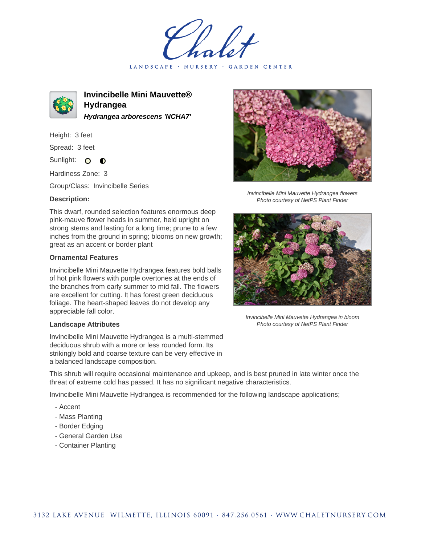LANDSCAPE · NURSERY · GARDEN CENTER



**Invincibelle Mini Mauvette® Hydrangea Hydrangea arborescens 'NCHA7'**

Height: 3 feet

Spread: 3 feet

Sunlight: O  $\bullet$ 

Hardiness Zone: 3

Group/Class: Invincibelle Series

## **Description:**

This dwarf, rounded selection features enormous deep pink-mauve flower heads in summer, held upright on strong stems and lasting for a long time; prune to a few inches from the ground in spring; blooms on new growth; great as an accent or border plant

## **Ornamental Features**

Invincibelle Mini Mauvette Hydrangea features bold balls of hot pink flowers with purple overtones at the ends of the branches from early summer to mid fall. The flowers are excellent for cutting. It has forest green deciduous foliage. The heart-shaped leaves do not develop any appreciable fall color.

## **Landscape Attributes**

Invincibelle Mini Mauvette Hydrangea is a multi-stemmed deciduous shrub with a more or less rounded form. Its strikingly bold and coarse texture can be very effective in a balanced landscape composition.



Invincibelle Mini Mauvette Hydrangea flowers Photo courtesy of NetPS Plant Finder



Invincibelle Mini Mauvette Hydrangea in bloom Photo courtesy of NetPS Plant Finder

This shrub will require occasional maintenance and upkeep, and is best pruned in late winter once the threat of extreme cold has passed. It has no significant negative characteristics.

Invincibelle Mini Mauvette Hydrangea is recommended for the following landscape applications;

- Accent
- Mass Planting
- Border Edging
- General Garden Use
- Container Planting